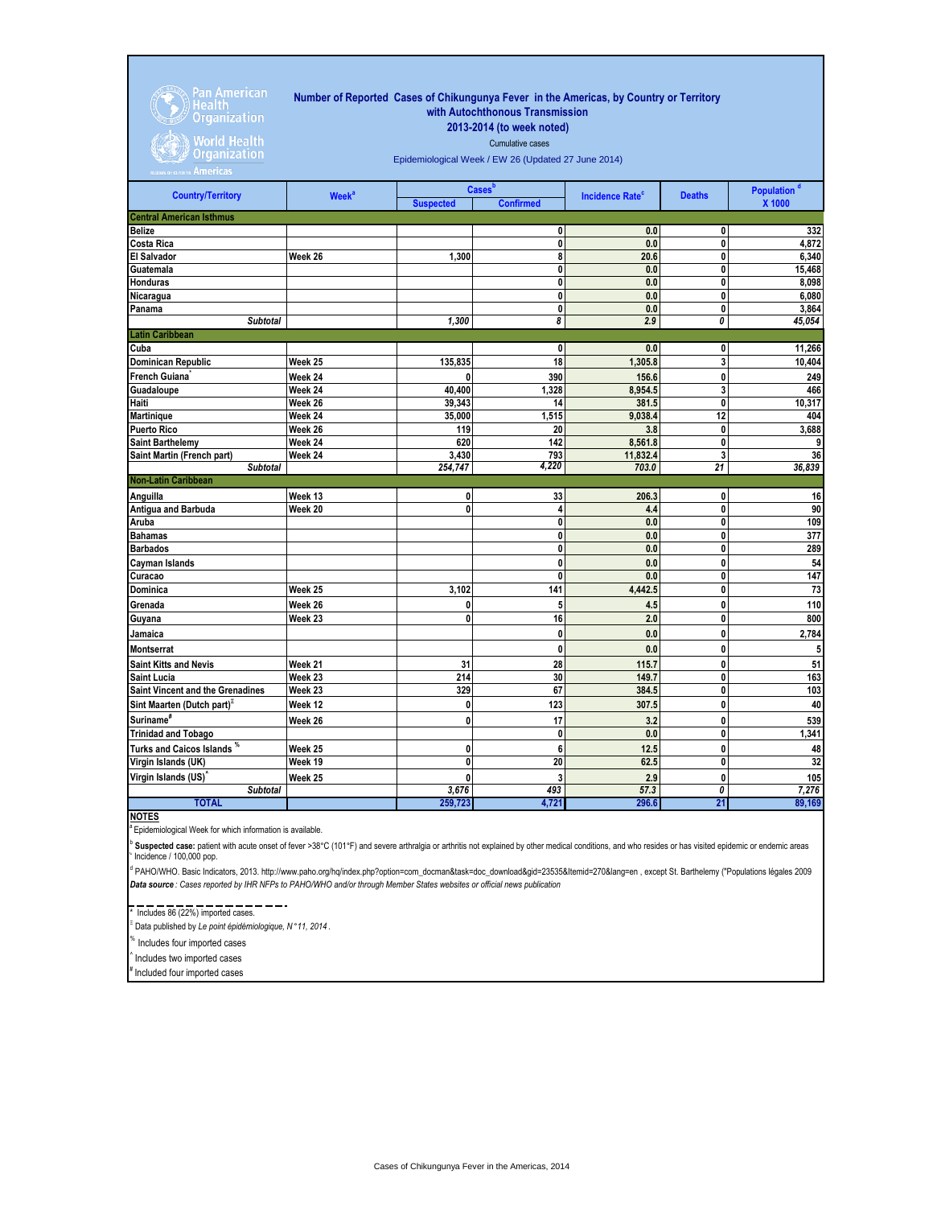| <b>Pan American</b><br><b>Health</b><br><b>Organization</b><br><b>World Health</b><br><b>Organization</b><br>Americas | Number of Reported Cases of Chikungunya Fever in the Americas, by Country or Territory<br>with Autochthonous Transmission<br>2013-2014 (to week noted)<br>Cumulative cases<br>Epidemiological Week / EW 26 (Updated 27 June 2014) |                  |                                               |                                   |                         |                                   |  |  |
|-----------------------------------------------------------------------------------------------------------------------|-----------------------------------------------------------------------------------------------------------------------------------------------------------------------------------------------------------------------------------|------------------|-----------------------------------------------|-----------------------------------|-------------------------|-----------------------------------|--|--|
| <b>Country/Territory</b>                                                                                              | <b>Week<sup>a</sup></b>                                                                                                                                                                                                           | <b>Suspected</b> | <b>Cases</b> <sup>b</sup><br><b>Confirmed</b> | <b>Incidence Rate<sup>c</sup></b> | <b>Deaths</b>           | Population <sup>d</sup><br>X 1000 |  |  |
| <b>Central American Isthmus</b>                                                                                       |                                                                                                                                                                                                                                   |                  |                                               |                                   |                         |                                   |  |  |
| <b>Belize</b>                                                                                                         |                                                                                                                                                                                                                                   |                  | 0                                             | 0.0                               | 0                       | 332                               |  |  |
| <b>Costa Rica</b>                                                                                                     |                                                                                                                                                                                                                                   |                  | 0                                             | 0.0                               | $\mathbf{0}$            | 4.872                             |  |  |
| <b>El Salvador</b>                                                                                                    | Week 26                                                                                                                                                                                                                           | 1,300            | 8                                             | 20.6                              | $\mathbf{0}$            | 6,340                             |  |  |
| Guatemala                                                                                                             |                                                                                                                                                                                                                                   |                  | 0                                             | 0.0                               | $\overline{\mathbf{0}}$ | 15,468                            |  |  |
| <b>Honduras</b>                                                                                                       |                                                                                                                                                                                                                                   |                  | 0                                             | 0.0                               | 0                       | 8,098                             |  |  |
| Nicaragua                                                                                                             |                                                                                                                                                                                                                                   |                  | 0                                             | 0.0                               | 0                       | 6,080                             |  |  |
| Panama                                                                                                                |                                                                                                                                                                                                                                   |                  | 0                                             | 0.0                               | 0                       | 3,864                             |  |  |
| <b>Subtotal</b>                                                                                                       |                                                                                                                                                                                                                                   | 1.300            | 8                                             | 2.9                               | 0                       | 45,054                            |  |  |
| <b>Latin Caribbean</b>                                                                                                |                                                                                                                                                                                                                                   |                  |                                               |                                   |                         |                                   |  |  |
| Cuba                                                                                                                  |                                                                                                                                                                                                                                   |                  | 0                                             | 0.0                               | $\mathbf{0}$            | 11,266                            |  |  |
| <b>Dominican Republic</b>                                                                                             | Week 25                                                                                                                                                                                                                           | 135,835          | 18                                            | 1,305.8                           | 3                       | 10,404                            |  |  |
| French Guiana                                                                                                         | Week 24                                                                                                                                                                                                                           | 0                | 390                                           | 156.6                             | 0                       | 249                               |  |  |
| Guadaloupe                                                                                                            | Week 24                                                                                                                                                                                                                           | 40.400           | 1.328                                         | 8,954.5                           | $\overline{\mathbf{3}}$ | 466                               |  |  |
| Haiti                                                                                                                 | Week 26                                                                                                                                                                                                                           | 39,343           | 14                                            | 381.5                             | 0                       | 10,317                            |  |  |
| <b>Martinique</b>                                                                                                     | Week 24                                                                                                                                                                                                                           | 35.000           | 1.515                                         | 9.038.4                           | 12                      | 404                               |  |  |
| <b>Puerto Rico</b>                                                                                                    | Week 26                                                                                                                                                                                                                           | 119              | 20                                            | 3.8                               | 0                       | 3,688                             |  |  |
| <b>Saint Barthelemy</b>                                                                                               | Week 24                                                                                                                                                                                                                           | 620              | 142                                           | 8,561.8                           | 0                       | 9                                 |  |  |
| Saint Martin (French part)                                                                                            | Week 24                                                                                                                                                                                                                           | 3,430            | 793                                           | 11,832.4                          | 3                       | 36                                |  |  |
| <b>Subtotal</b>                                                                                                       |                                                                                                                                                                                                                                   | 254,747          | 4,220                                         | 703.0                             | $\overline{21}$         | 36,839                            |  |  |
| <b>Non-Latin Caribbean</b>                                                                                            |                                                                                                                                                                                                                                   |                  |                                               |                                   |                         |                                   |  |  |
| Anguilla                                                                                                              | Week 13                                                                                                                                                                                                                           | 0                | 33                                            | 206.3                             | 0                       | 16                                |  |  |
| Antigua and Barbuda                                                                                                   | Week 20                                                                                                                                                                                                                           | 0                | $\overline{\mathbf{A}}$                       | 4.4                               | 0                       | 90                                |  |  |

| Antigua and Barbuda                    | Week 20 | 0       | 4     | 4.4     | 0  | 90     |
|----------------------------------------|---------|---------|-------|---------|----|--------|
| Aruba                                  |         |         | 0     | 0.0     | 0  | 109    |
| <b>Bahamas</b>                         |         |         | 0     | 0.0     | 0  | 377    |
| <b>Barbados</b>                        |         |         | 0     | 0.0     | 0  | 289    |
| Cayman Islands                         |         |         | 0     | 0.0     | 0  | 54     |
| Curacao                                |         |         | 0     | 0.0     | 0  | 147    |
| Dominica                               | Week 25 | 3,102   | 141   | 4,442.5 | 0  | 73     |
| Grenada                                | Week 26 |         | 5     | 4.5     | 0  | 110    |
| Guyana                                 | Week 23 |         | 16    | 2.0     | 0  | 800    |
| Jamaica                                |         |         | 0     | 0.0     | 0  | 2,784  |
| <b>Montserrat</b>                      |         |         | 0     | 0.0     | 0  |        |
| <b>Saint Kitts and Nevis</b>           | Week 21 | 31      | 28    | 115.7   | 0  | 51     |
| <b>Saint Lucia</b>                     | Week 23 | 214     | 30    | 149.7   | 0  | 163    |
| Saint Vincent and the Grenadines       | Week 23 | 329     | 67    | 384.5   | 0  | 103    |
| Sint Maarten (Dutch part) <sup>=</sup> | Week 12 | 0       | 123   | 307.5   | 0  | 40     |
| Suriname <sup>#</sup>                  | Week 26 |         | 17    | 3.2     | 0  | 539    |
| <b>Trinidad and Tobago</b>             |         |         | 0     | 0.0     | 0  | 1,341  |
| Turks and Caicos Islands *             | Week 25 | 0       | 6     | 12.5    | 0  | 48     |
| Virgin Islands (UK)                    | Week 19 |         | 20    | 62.5    | 0  | 32     |
| Virgin Islands (US)                    | Week 25 |         | 3     | 2.9     | 0  | 105    |
| <b>Subtotal</b>                        |         | 3,676   | 493   | 57.3    | 0  | 7,276  |
| <b>TOTAL</b>                           |         | 259,723 | 4,721 | 296.6   | 21 | 89,169 |

**NOTES**

Epidemiological Week for which information is available.

 $\degree$  Incidence / 100,000 pop. **Suspected case:** patient with acute onset of fever >38°C (101°F) and severe arthralgia or arthritis not explained by other medical conditions, and who resides or has visited epidemic or endemic areas

*Data source : Cases reported by IHR NFPs to PAHO/WHO and/or through Member States websites or official news publication*  d PAHO/WHO. Basic Indicators, 2013. http://www.paho.org/hq/index.php?option=com\_docman&task=doc\_download&gid=23535&Itemid=270&lang=en , except St. Barthelemy ("Populations légales 2009

## $\frac{1}{10} - \frac{1}{100} - \frac{1}{100} - \frac{1}{100} - \frac{1}{100} - \frac{1}{100} - \frac{1}{100} - \frac{1}{100} - \frac{1}{100} - \frac{1}{100} - \frac{1}{100} - \frac{1}{100} - \frac{1}{100} - \frac{1}{100} - \frac{1}{100} - \frac{1}{100} - \frac{1}{100} - \frac{1}{100} - \frac{1}{100} - \frac{1}{100} - \frac{1}{100} - \frac{1}{100} - \$

Ξ Data published by *Le point épidémiologique, N* °*11, 2014* .

% Includes four imported cases

^ Includes two imported cases

Included four imported cases